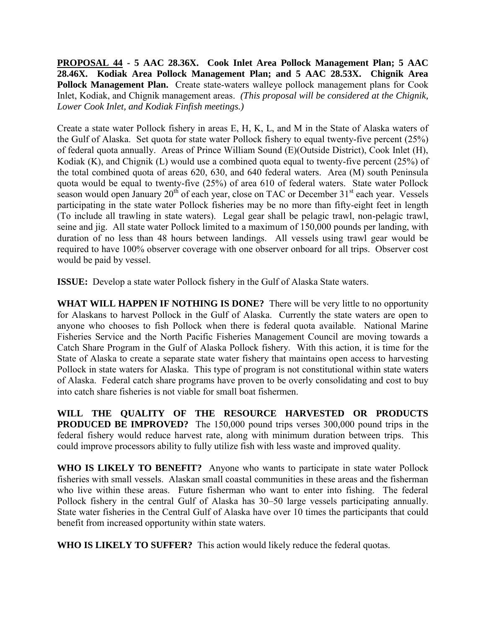**PROPOSAL 44 - 5 AAC 28.36X. Cook Inlet Area Pollock Management Plan; 5 AAC 28.46X. Kodiak Area Pollock Management Plan; and 5 AAC 28.53X. Chignik Area Pollock Management Plan.** Create state-waters walleye pollock management plans for Cook Inlet, Kodiak, and Chignik management areas. *(This proposal will be considered at the Chignik, Lower Cook Inlet, and Kodiak Finfish meetings.)*

Create a state water Pollock fishery in areas E, H, K, L, and M in the State of Alaska waters of the Gulf of Alaska. Set quota for state water Pollock fishery to equal twenty-five percent (25%) of federal quota annually. Areas of Prince William Sound (E)(Outside District), Cook Inlet (H), Kodiak  $(K)$ , and Chignik  $(L)$  would use a combined quota equal to twenty-five percent  $(25%)$  of the total combined quota of areas 620, 630, and 640 federal waters. Area (M) south Peninsula quota would be equal to twenty-five (25%) of area 610 of federal waters. State water Pollock season would open January  $20^{th}$  of each year, close on TAC or December  $31^{st}$  each year. Vessels participating in the state water Pollock fisheries may be no more than fifty-eight feet in length (To include all trawling in state waters). Legal gear shall be pelagic trawl, non-pelagic trawl, seine and jig. All state water Pollock limited to a maximum of 150,000 pounds per landing, with duration of no less than 48 hours between landings. All vessels using trawl gear would be required to have 100% observer coverage with one observer onboard for all trips. Observer cost would be paid by vessel.

**ISSUE:** Develop a state water Pollock fishery in the Gulf of Alaska State waters.

**WHAT WILL HAPPEN IF NOTHING IS DONE?** There will be very little to no opportunity for Alaskans to harvest Pollock in the Gulf of Alaska. Currently the state waters are open to anyone who chooses to fish Pollock when there is federal quota available. National Marine Fisheries Service and the North Pacific Fisheries Management Council are moving towards a Catch Share Program in the Gulf of Alaska Pollock fishery. With this action, it is time for the State of Alaska to create a separate state water fishery that maintains open access to harvesting Pollock in state waters for Alaska. This type of program is not constitutional within state waters of Alaska. Federal catch share programs have proven to be overly consolidating and cost to buy into catch share fisheries is not viable for small boat fishermen.

**WILL THE QUALITY OF THE RESOURCE HARVESTED OR PRODUCTS PRODUCED BE IMPROVED?** The 150,000 pound trips verses 300,000 pound trips in the federal fishery would reduce harvest rate, along with minimum duration between trips. This could improve processors ability to fully utilize fish with less waste and improved quality.

**WHO IS LIKELY TO BENEFIT?** Anyone who wants to participate in state water Pollock fisheries with small vessels. Alaskan small coastal communities in these areas and the fisherman who live within these areas. Future fisherman who want to enter into fishing. The federal Pollock fishery in the central Gulf of Alaska has 30–50 large vessels participating annually. State water fisheries in the Central Gulf of Alaska have over 10 times the participants that could benefit from increased opportunity within state waters.

**WHO IS LIKELY TO SUFFER?** This action would likely reduce the federal quotas.